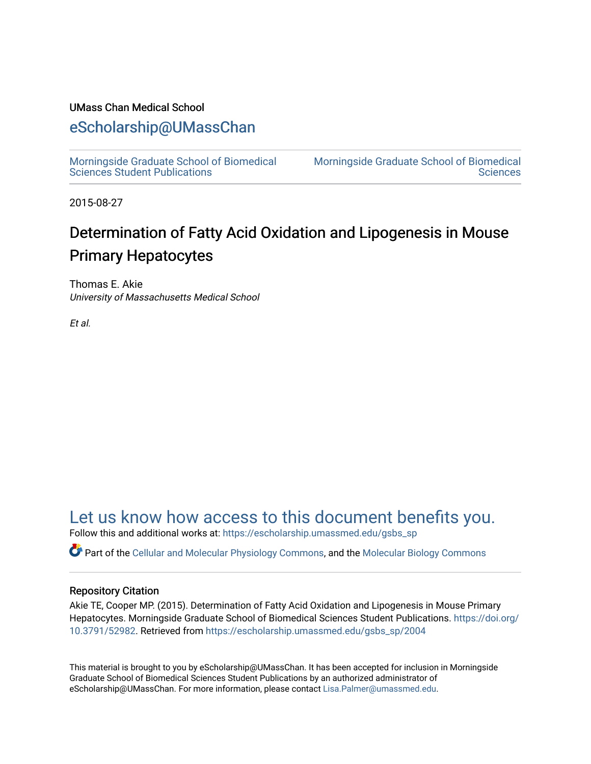## UMass Chan Medical School

# [eScholarship@UMassChan](https://escholarship.umassmed.edu/)

[Morningside Graduate School of Biomedical](https://escholarship.umassmed.edu/gsbs_sp)  [Sciences Student Publications](https://escholarship.umassmed.edu/gsbs_sp) 

[Morningside Graduate School of Biomedical](https://escholarship.umassmed.edu/gsbs)  **Sciences** 

2015-08-27

# Determination of Fatty Acid Oxidation and Lipogenesis in Mouse Primary Hepatocytes

Thomas E. Akie University of Massachusetts Medical School

Et al.

# [Let us know how access to this document benefits you.](https://arcsapps.umassmed.edu/redcap/surveys/?s=XWRHNF9EJE)

Follow this and additional works at: [https://escholarship.umassmed.edu/gsbs\\_sp](https://escholarship.umassmed.edu/gsbs_sp?utm_source=escholarship.umassmed.edu%2Fgsbs_sp%2F2004&utm_medium=PDF&utm_campaign=PDFCoverPages)

Part of the [Cellular and Molecular Physiology Commons,](http://network.bepress.com/hgg/discipline/70?utm_source=escholarship.umassmed.edu%2Fgsbs_sp%2F2004&utm_medium=PDF&utm_campaign=PDFCoverPages) and the [Molecular Biology Commons](http://network.bepress.com/hgg/discipline/5?utm_source=escholarship.umassmed.edu%2Fgsbs_sp%2F2004&utm_medium=PDF&utm_campaign=PDFCoverPages) 

### Repository Citation

Akie TE, Cooper MP. (2015). Determination of Fatty Acid Oxidation and Lipogenesis in Mouse Primary Hepatocytes. Morningside Graduate School of Biomedical Sciences Student Publications. [https://doi.org/](https://doi.org/10.3791/52982) [10.3791/52982.](https://doi.org/10.3791/52982) Retrieved from [https://escholarship.umassmed.edu/gsbs\\_sp/2004](https://escholarship.umassmed.edu/gsbs_sp/2004?utm_source=escholarship.umassmed.edu%2Fgsbs_sp%2F2004&utm_medium=PDF&utm_campaign=PDFCoverPages)

This material is brought to you by eScholarship@UMassChan. It has been accepted for inclusion in Morningside Graduate School of Biomedical Sciences Student Publications by an authorized administrator of eScholarship@UMassChan. For more information, please contact [Lisa.Palmer@umassmed.edu](mailto:Lisa.Palmer@umassmed.edu).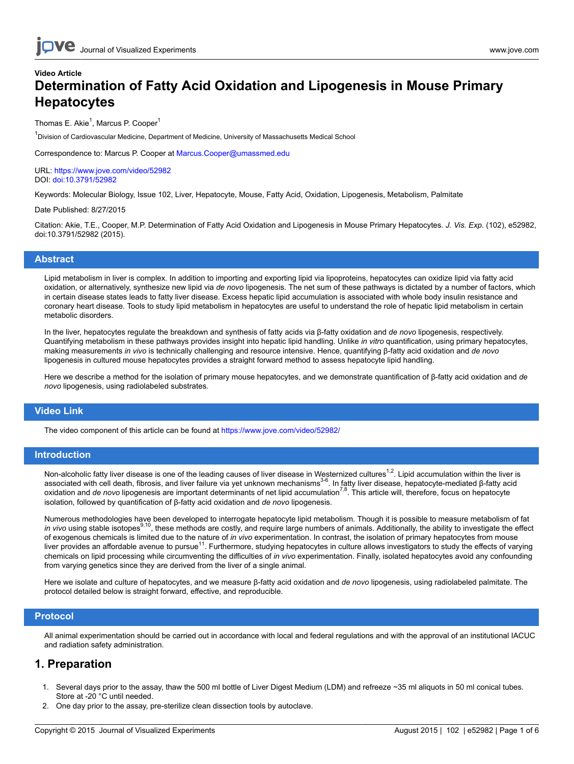# **Video Article Determination of Fatty Acid Oxidation and Lipogenesis in Mouse Primary Hepatocytes**

Thomas E. Akie<sup>1</sup>, Marcus P. Cooper<sup>1</sup>

<sup>1</sup>Division of Cardiovascular Medicine, Department of Medicine, University of Massachusetts Medical School

Correspondence to: Marcus P. Cooper at [Marcus.Cooper@umassmed.edu](mailto:Marcus.Cooper@umassmed.edu)

URL:<https://www.jove.com/video/52982> DOI: [doi:10.3791/52982](http://dx.doi.org/10.3791/52982)

Keywords: Molecular Biology, Issue 102, Liver, Hepatocyte, Mouse, Fatty Acid, Oxidation, Lipogenesis, Metabolism, Palmitate

#### Date Published: 8/27/2015

Citation: Akie, T.E., Cooper, M.P. Determination of Fatty Acid Oxidation and Lipogenesis in Mouse Primary Hepatocytes. *J. Vis. Exp.* (102), e52982, doi:10.3791/52982 (2015).

#### **Abstract**

Lipid metabolism in liver is complex. In addition to importing and exporting lipid via lipoproteins, hepatocytes can oxidize lipid via fatty acid oxidation, or alternatively, synthesize new lipid via *de novo* lipogenesis. The net sum of these pathways is dictated by a number of factors, which in certain disease states leads to fatty liver disease. Excess hepatic lipid accumulation is associated with whole body insulin resistance and coronary heart disease. Tools to study lipid metabolism in hepatocytes are useful to understand the role of hepatic lipid metabolism in certain metabolic disorders.

In the liver, hepatocytes regulate the breakdown and synthesis of fatty acids via β-fatty oxidation and *de novo* lipogenesis, respectively. Quantifying metabolism in these pathways provides insight into hepatic lipid handling. Unlike *in vitro* quantification, using primary hepatocytes, making measurements *in vivo* is technically challenging and resource intensive. Hence, quantifying β-fatty acid oxidation and *de novo* lipogenesis in cultured mouse hepatocytes provides a straight forward method to assess hepatocyte lipid handling.

Here we describe a method for the isolation of primary mouse hepatocytes, and we demonstrate quantification of β-fatty acid oxidation and *de novo* lipogenesis, using radiolabeled substrates.

#### **Video Link**

The video component of this article can be found at <https://www.jove.com/video/52982/>

#### **Introduction**

Non-alcoholic fatty liver disease is one of the leading causes of liver disease in Westernized cultures<sup>1,2</sup>. Lipid accumulation within the liver is associated with cell death, fibrosis, and liver failure via yet unknown mechanisms<sup>3-6</sup>. In fatty liver disease, hepatocyte-mediated β-fatty acid oxidation and *de novo* lipogenesis are important determinants of net lipid accumulation<sup>7,8</sup>. This article will, therefore, focus on hepatocyte isolation, followed by quantification of β-fatty acid oxidation and *de novo* lipogenesis.

Numerous methodologies have been developed to interrogate hepatocyte lipid metabolism. Though it is possible to measure metabolism of fat<br>*in vivo* using stable isotopes<sup>9,10</sup>, these methods are costly, and require large n of exogenous chemicals is limited due to the nature of *in vivo* experimentation. In contrast, the isolation of primary hepatocytes from mouse liver provides an affordable avenue to pursue<sup>11</sup>. Furthermore, studying hepatocytes in culture allows investigators to study the effects of varying chemicals on lipid processing while circumventing the difficulties of *in vivo* experimentation. Finally, isolated hepatocytes avoid any confounding from varying genetics since they are derived from the liver of a single animal.

Here we isolate and culture of hepatocytes, and we measure β-fatty acid oxidation and *de novo* lipogenesis, using radiolabeled palmitate. The protocol detailed below is straight forward, effective, and reproducible.

#### **Protocol**

All animal experimentation should be carried out in accordance with local and federal regulations and with the approval of an institutional IACUC and radiation safety administration.

### **1. Preparation**

- 1. Several days prior to the assay, thaw the 500 ml bottle of Liver Digest Medium (LDM) and refreeze ~35 ml aliquots in 50 ml conical tubes. Store at -20 °C until needed.
- 2. One day prior to the assay, pre-sterilize clean dissection tools by autoclave.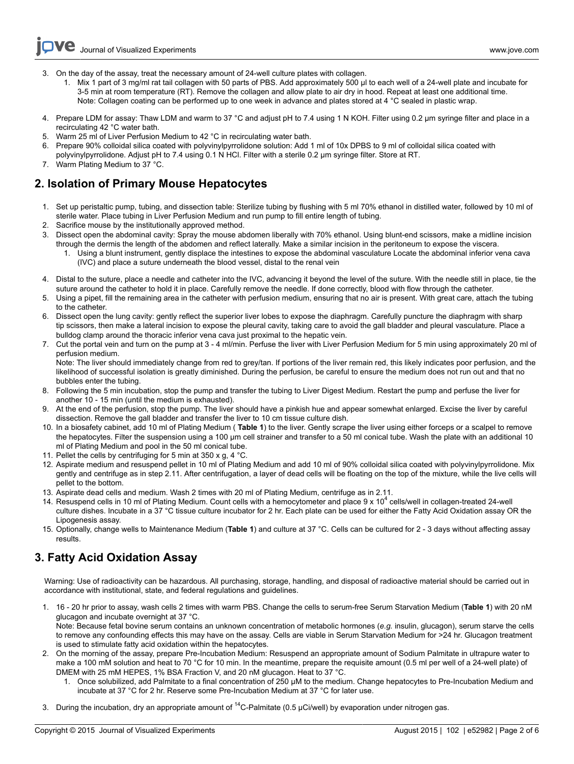- 3. On the day of the assay, treat the necessary amount of 24-well culture plates with collagen.
	- 1. Mix 1 part of 3 mg/ml rat tail collagen with 50 parts of PBS. Add approximately 500 µl to each well of a 24-well plate and incubate for 3-5 min at room temperature (RT). Remove the collagen and allow plate to air dry in hood. Repeat at least one additional time. Note: Collagen coating can be performed up to one week in advance and plates stored at 4 °C sealed in plastic wrap.
- 4. Prepare LDM for assay: Thaw LDM and warm to 37 °C and adjust pH to 7.4 using 1 N KOH. Filter using 0.2 µm syringe filter and place in a recirculating 42 °C water bath.
- 5. Warm 25 ml of Liver Perfusion Medium to 42 °C in recirculating water bath.
- 6. Prepare 90% colloidal silica coated with polyvinylpyrrolidone solution: Add 1 ml of 10x DPBS to 9 ml of colloidal silica coated with polyvinylpyrrolidone. Adjust pH to 7.4 using 0.1 N HCl. Filter with a sterile 0.2 µm syringe filter. Store at RT.
- 7. Warm Plating Medium to 37 °C.

**Ove** 

# **2. Isolation of Primary Mouse Hepatocytes**

- 1. Set up peristaltic pump, tubing, and dissection table: Sterilize tubing by flushing with 5 ml 70% ethanol in distilled water, followed by 10 ml of sterile water. Place tubing in Liver Perfusion Medium and run pump to fill entire length of tubing.
- 2. Sacrifice mouse by the institutionally approved method.
- 3. Dissect open the abdominal cavity: Spray the mouse abdomen liberally with 70% ethanol. Using blunt-end scissors, make a midline incision through the dermis the length of the abdomen and reflect laterally. Make a similar incision in the peritoneum to expose the viscera.
	- 1. Using a blunt instrument, gently displace the intestines to expose the abdominal vasculature Locate the abdominal inferior vena cava (IVC) and place a suture underneath the blood vessel, distal to the renal vein
- 4. Distal to the suture, place a needle and catheter into the IVC, advancing it beyond the level of the suture. With the needle still in place, tie the suture around the catheter to hold it in place. Carefully remove the needle. If done correctly, blood with flow through the catheter.
- 5. Using a pipet, fill the remaining area in the catheter with perfusion medium, ensuring that no air is present. With great care, attach the tubing to the catheter.
- 6. Dissect open the lung cavity: gently reflect the superior liver lobes to expose the diaphragm. Carefully puncture the diaphragm with sharp tip scissors, then make a lateral incision to expose the pleural cavity, taking care to avoid the gall bladder and pleural vasculature. Place a bulldog clamp around the thoracic inferior vena cava just proximal to the hepatic vein.
- 7. Cut the portal vein and turn on the pump at 3 4 ml/min. Perfuse the liver with Liver Perfusion Medium for 5 min using approximately 20 ml of perfusion medium.

Note: The liver should immediately change from red to grey/tan. If portions of the liver remain red, this likely indicates poor perfusion, and the likelihood of successful isolation is greatly diminished. During the perfusion, be careful to ensure the medium does not run out and that no bubbles enter the tubing.

- 8. Following the 5 min incubation, stop the pump and transfer the tubing to Liver Digest Medium. Restart the pump and perfuse the liver for another 10 - 15 min (until the medium is exhausted).
- 9. At the end of the perfusion, stop the pump. The liver should have a pinkish hue and appear somewhat enlarged. Excise the liver by careful dissection. Remove the gall bladder and transfer the liver to 10 cm tissue culture dish.
- 10. In a biosafety cabinet, add 10 ml of Plating Medium ( **Table 1**) to the liver. Gently scrape the liver using either forceps or a scalpel to remove the hepatocytes. Filter the suspension using a 100 µm cell strainer and transfer to a 50 ml conical tube. Wash the plate with an additional 10 ml of Plating Medium and pool in the 50 ml conical tube.
- 11. Pellet the cells by centrifuging for 5 min at 350 x g, 4 °C.
- 12. Aspirate medium and resuspend pellet in 10 ml of Plating Medium and add 10 ml of 90% colloidal silica coated with polyvinylpyrrolidone. Mix gently and centrifuge as in step 2.11. After centrifugation, a layer of dead cells will be floating on the top of the mixture, while the live cells will pellet to the bottom.
- 13. Aspirate dead cells and medium. Wash 2 times with 20 ml of Plating Medium, centrifuge as in 2.11.
- 14. Resuspend cells in 10 ml of Plating Medium. Count cells with a hemocytometer and place 9 x 10<sup>4</sup> cells/well in collagen-treated 24-well culture dishes. Incubate in a 37 °C tissue culture incubator for 2 hr. Each plate can be used for either the Fatty Acid Oxidation assay OR the Lipogenesis assay.
- 15. Optionally, change wells to Maintenance Medium (**Table 1**) and culture at 37 °C. Cells can be cultured for 2 3 days without affecting assay results.

# **3. Fatty Acid Oxidation Assay**

Warning: Use of radioactivity can be hazardous. All purchasing, storage, handling, and disposal of radioactive material should be carried out in accordance with institutional, state, and federal regulations and guidelines.

1. 16 - 20 hr prior to assay, wash cells 2 times with warm PBS. Change the cells to serum-free Serum Starvation Medium (**Table 1**) with 20 nM glucagon and incubate overnight at 37 °C.

Note: Because fetal bovine serum contains an unknown concentration of metabolic hormones (*e.g.* insulin, glucagon), serum starve the cells to remove any confounding effects this may have on the assay. Cells are viable in Serum Starvation Medium for >24 hr. Glucagon treatment is used to stimulate fatty acid oxidation within the hepatocytes.

- 2. On the morning of the assay, prepare Pre-Incubation Medium: Resuspend an appropriate amount of Sodium Palmitate in ultrapure water to make a 100 mM solution and heat to 70 °C for 10 min. In the meantime, prepare the requisite amount (0.5 ml per well of a 24-well plate) of DMEM with 25 mM HEPES, 1% BSA Fraction V, and 20 nM glucagon. Heat to 37 °C.
	- 1. Once solubilized, add Palmitate to a final concentration of 250 µM to the medium. Change hepatocytes to Pre-Incubation Medium and incubate at 37 °C for 2 hr. Reserve some Pre-Incubation Medium at 37 °C for later use.
- 3. During the incubation, dry an appropriate amount of  $14$ C-Palmitate (0.5 µCi/well) by evaporation under nitrogen gas.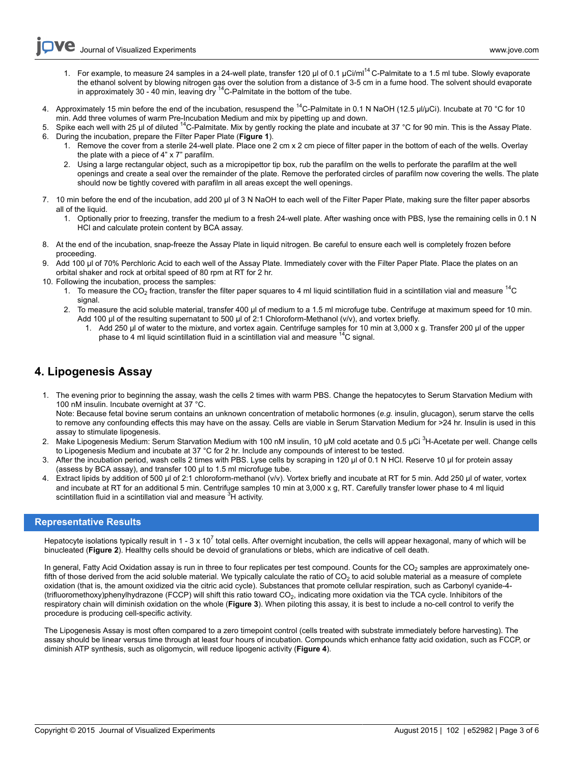- 1. For example, to measure 24 samples in a 24-well plate, transfer 120  $\mu$ l of 0.1  $\mu$ Ci/ml<sup>14</sup> C-Palmitate to a 1.5 ml tube. Slowly evaporate the ethanol solvent by blowing nitrogen gas over the solution from a distance of 3-5 cm in a fume hood. The solvent should evaporate<br>in approximately 30 - 40 min, leaving dry <sup>14</sup>C-Palmitate in the bottom of the tube.
- 4. Approximately 15 min before the end of the incubation, resuspend the <sup>14</sup>C-Palmitate in 0.1 N NaOH (12.5 µl/µCi). Incubate at 70 °C for 10
- min. Add three volumes of warm Pre-Incubation Medium and mix by pipetting up and down.<br>5. Spike each well with 25 μl of diluted <sup>14</sup>C-Palmitate. Mix by gently rocking the plate and incubate at 37 °C for 90 min. This is th
- 6. During the incubation, prepare the Filter Paper Plate (**Figure 1**).
	- 1. Remove the cover from a sterile 24-well plate. Place one 2 cm x 2 cm piece of filter paper in the bottom of each of the wells. Overlay the plate with a piece of 4" x 7" parafilm.
	- 2. Using a large rectangular object, such as a micropipettor tip box, rub the parafilm on the wells to perforate the parafilm at the well openings and create a seal over the remainder of the plate. Remove the perforated circles of parafilm now covering the wells. The plate should now be tightly covered with parafilm in all areas except the well openings.
- 7. 10 min before the end of the incubation, add 200 µl of 3 N NaOH to each well of the Filter Paper Plate, making sure the filter paper absorbs all of the liquid.
	- 1. Optionally prior to freezing, transfer the medium to a fresh 24-well plate. After washing once with PBS, lyse the remaining cells in 0.1 N HCl and calculate protein content by BCA assay.
- 8. At the end of the incubation, snap-freeze the Assay Plate in liquid nitrogen. Be careful to ensure each well is completely frozen before proceeding.
- 9. Add 100 µl of 70% Perchloric Acid to each well of the Assay Plate. Immediately cover with the Filter Paper Plate. Place the plates on an orbital shaker and rock at orbital speed of 80 rpm at RT for 2 hr.
- 10. Following the incubation, process the samples:
	- 1. To measure the CO<sub>2</sub> fraction, transfer the filter paper squares to 4 ml liquid scintillation fluid in a scintillation vial and measure  $^{14}$ C signal.
	- 2. To measure the acid soluble material, transfer 400 µl of medium to a 1.5 ml microfuge tube. Centrifuge at maximum speed for 10 min. Add 100 µl of the resulting supernatant to 500 µl of 2:1 Chloroform-Methanol (v/v), and vortex briefly.
		- 1. Add 250 µl of water to the mixture, and vortex again. Centrifuge samples for 10 min at 3,000 x g. Transfer 200 µl of the upper phase to 4 ml liquid scintillation fluid in a scintillation vial and measure  $^{14}$ C signal.

## **4. Lipogenesis Assay**

- 1. The evening prior to beginning the assay, wash the cells 2 times with warm PBS. Change the hepatocytes to Serum Starvation Medium with 100 nM insulin. Incubate overnight at 37 °C. Note: Because fetal bovine serum contains an unknown concentration of metabolic hormones (*e.g.* insulin, glucagon), serum starve the cells to remove any confounding effects this may have on the assay. Cells are viable in Serum Starvation Medium for >24 hr. Insulin is used in this assay to stimulate lipogenesis.
- 2. Make Lipogenesis Medium: Serum Starvation Medium with 100 nM insulin, 10 μM cold acetate and 0.5 μCi<sup>3</sup>H-Acetate per well. Change cells to Lipogenesis Medium and incubate at 37 °C for 2 hr. Include any compounds of interest to be tested.
- 3. After the incubation period, wash cells 2 times with PBS. Lyse cells by scraping in 120 µl of 0.1 N HCl. Reserve 10 µl for protein assay (assess by BCA assay), and transfer 100 µl to 1.5 ml microfuge tube.
- Extract lipids by addition of 500 µl of 2:1 chloroform-methanol (v/v). Vortex briefly and incubate at RT for 5 min. Add 250 µl of water, vortex and incubate at RT for an additional 5 min. Centrifuge samples 10 min at 3,000 x g, RT. Carefully transfer lower phase to 4 ml liquid scintillation fluid in a scintillation vial and measure <sup>3</sup>H activity.

#### **Representative Results**

Hepatocyte isolations typically result in 1 - 3 x 10<sup>7</sup> total cells. After overnight incubation, the cells will appear hexagonal, many of which will be binucleated (**Figure 2**). Healthy cells should be devoid of granulations or blebs, which are indicative of cell death.

In general, Fatty Acid Oxidation assay is run in three to four replicates per test compound. Counts for the  $CO<sub>2</sub>$  samples are approximately onefifth of those derived from the acid soluble material. We typically calculate the ratio of  $CO<sub>2</sub>$  to acid soluble material as a measure of complete oxidation (that is, the amount oxidized via the citric acid cycle). Substances that promote cellular respiration, such as Carbonyl cyanide-4- (trifluoromethoxy)phenylhydrazone (FCCP) will shift this ratio toward CO<sub>2</sub>, indicating more oxidation via the TCA cycle. Inhibitors of the respiratory chain will diminish oxidation on the whole (**Figure 3**). When piloting this assay, it is best to include a no-cell control to verify the procedure is producing cell-specific activity.

The Lipogenesis Assay is most often compared to a zero timepoint control (cells treated with substrate immediately before harvesting). The assay should be linear versus time through at least four hours of incubation. Compounds which enhance fatty acid oxidation, such as FCCP, or diminish ATP synthesis, such as oligomycin, will reduce lipogenic activity (**Figure 4**).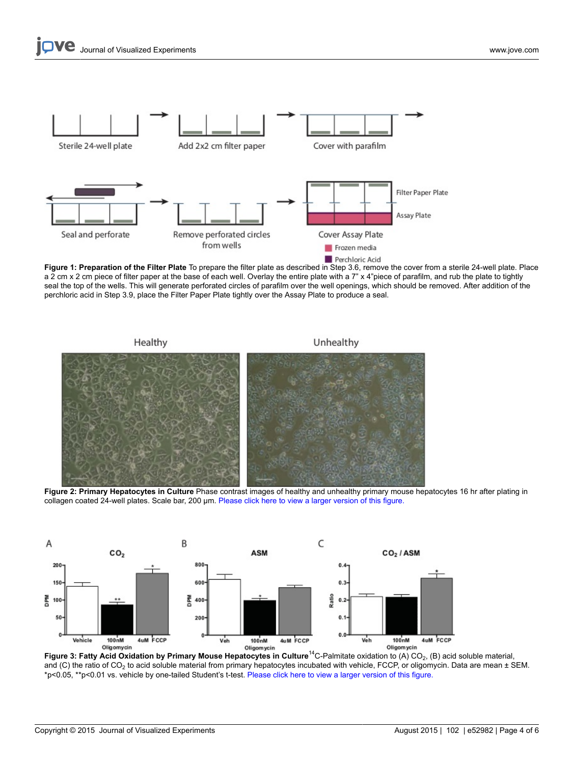

**Figure 1: Preparation of the Filter Plate** To prepare the filter plate as described in Step 3.6, remove the cover from a sterile 24-well plate. Place a 2 cm x 2 cm piece of filter paper at the base of each well. Overlay the entire plate with a 7" x 4"piece of parafilm, and rub the plate to tightly seal the top of the wells. This will generate perforated circles of parafilm over the well openings, which should be removed. After addition of the perchloric acid in Step 3.9, place the Filter Paper Plate tightly over the Assay Plate to produce a seal.

Unhealthy Healthy

**Figure 2: Primary Hepatocytes in Culture** Phase contrast images of healthy and unhealthy primary mouse hepatocytes 16 hr after plating in collagen coated 24-well plates. Scale bar, 200 µm. [Please click here to view a larger version of this figure.](https://www.jove.com/files/ftp_upload/52982/52982fig2large.jpg)



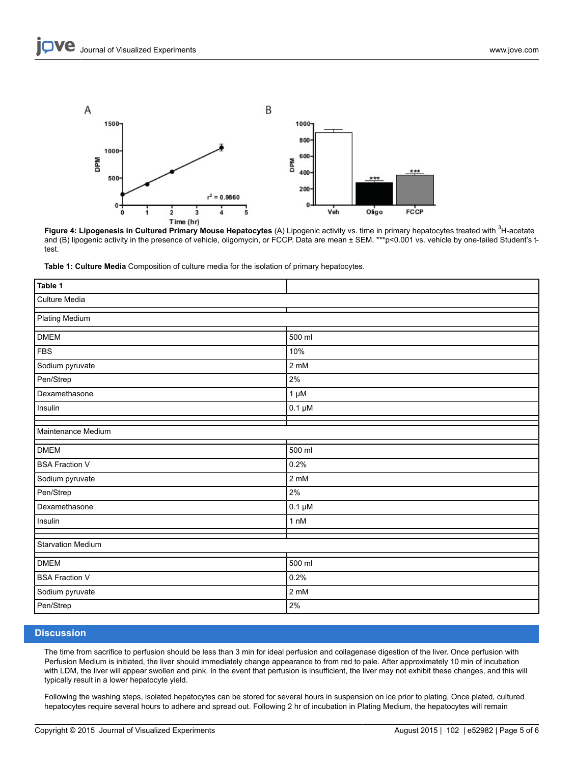

**Figure 4: Lipogenesis in Cultured Primary Mouse Hepatocytes** (A) Lipogenic activity vs. time in primary hepatocytes treated with <sup>3</sup>H-acetate **Figure 4: Lipogenesis in Cultured Primary Mouse Hepatocytes** (A) Lipogenic act and (B) lipogenic activity in the presence of vehicle, oligomycin, or FCCP. Data are mean ± SEM. \*\*\*p<0.001 vs. vehicle by one-tailed Student's ttest.

**Table 1: Culture Media** Composition of culture media for the isolation of primary hepatocytes.

| Table 1                  |                |
|--------------------------|----------------|
| Culture Media            |                |
| <b>Plating Medium</b>    |                |
| <b>DMEM</b>              | 500 ml         |
| <b>FBS</b>               | 10%            |
| Sodium pyruvate          | 2 mM           |
| Pen/Strep                | 2%             |
| Dexamethasone            | $1 \mu M$      |
| Insulin                  | $0.1 \mu M$    |
| Maintenance Medium       |                |
| <b>DMEM</b>              | 500 ml         |
| <b>BSA Fraction V</b>    | 0.2%           |
| Sodium pyruvate          | 2 mM           |
| Pen/Strep                | 2%             |
| Dexamethasone            | $0.1 \mu M$    |
| Insulin                  | 1 nM           |
| <b>Starvation Medium</b> |                |
| <b>DMEM</b>              | 500 ml         |
| <b>BSA Fraction V</b>    | 0.2%           |
| Sodium pyruvate          | $2 \text{ mM}$ |
| Pen/Strep                | $2\%$          |

#### **Discussion**

The time from sacrifice to perfusion should be less than 3 min for ideal perfusion and collagenase digestion of the liver. Once perfusion with Perfusion Medium is initiated, the liver should immediately change appearance to from red to pale. After approximately 10 min of incubation with LDM, the liver will appear swollen and pink. In the event that perfusion is insufficient, the liver may not exhibit these changes, and this will typically result in a lower hepatocyte yield.

Following the washing steps, isolated hepatocytes can be stored for several hours in suspension on ice prior to plating. Once plated, cultured hepatocytes require several hours to adhere and spread out. Following 2 hr of incubation in Plating Medium, the hepatocytes will remain